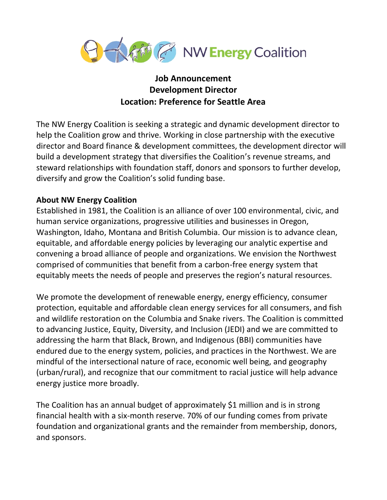

## **Job Announcement Development Director Location: Preference for Seattle Area**

The NW Energy Coalition is seeking a strategic and dynamic development director to help the Coalition grow and thrive. Working in close partnership with the executive director and Board finance & development committees, the development director will build a development strategy that diversifies the Coalition's revenue streams, and steward relationships with foundation staff, donors and sponsors to further develop, diversify and grow the Coalition's solid funding base.

## **About NW Energy Coalition**

Established in 1981, the Coalition is an alliance of over 100 environmental, civic, and human service organizations, progressive utilities and businesses in Oregon, Washington, Idaho, Montana and British Columbia. Our mission is to advance clean, equitable, and affordable energy policies by leveraging our analytic expertise and convening a broad alliance of people and organizations. We envision the Northwest comprised of communities that benefit from a carbon-free energy system that equitably meets the needs of people and preserves the region's natural resources.

We promote the development of renewable energy, energy efficiency, consumer protection, equitable and affordable clean energy services for all consumers, and fish and wildlife restoration on the Columbia and Snake rivers. The Coalition is committed to advancing Justice, Equity, Diversity, and Inclusion (JEDI) and we are committed to addressing the harm that Black, Brown, and Indigenous (BBI) communities have endured due to the energy system, policies, and practices in the Northwest. We are mindful of the intersectional nature of race, economic well being, and geography (urban/rural), and recognize that our commitment to racial justice will help advance energy justice more broadly.

The Coalition has an annual budget of approximately \$1 million and is in strong financial health with a six-month reserve. 70% of our funding comes from private foundation and organizational grants and the remainder from membership, donors, and sponsors.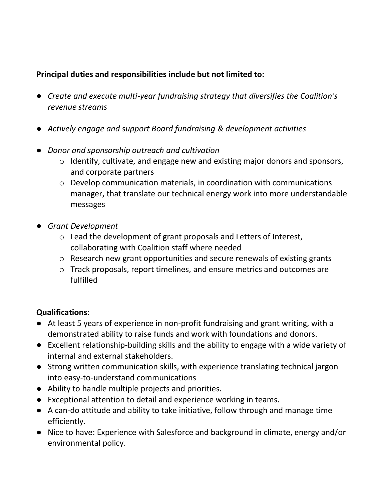## **Principal duties and responsibilities include but not limited to:**

- *Create and execute multi-year fundraising strategy that diversifies the Coalition's revenue streams*
- *Actively engage and support Board fundraising & development activities*
- *Donor and sponsorship outreach and cultivation* 
	- o Identify, cultivate, and engage new and existing major donors and sponsors, and corporate partners
	- o Develop communication materials, in coordination with communications manager, that translate our technical energy work into more understandable messages
- *Grant Development* 
	- o Lead the development of grant proposals and Letters of Interest, collaborating with Coalition staff where needed
	- o Research new grant opportunities and secure renewals of existing grants
	- o Track proposals, report timelines, and ensure metrics and outcomes are fulfilled

## **Qualifications:**

- At least 5 years of experience in non-profit fundraising and grant writing, with a demonstrated ability to raise funds and work with foundations and donors.
- Excellent relationship-building skills and the ability to engage with a wide variety of internal and external stakeholders.
- Strong written communication skills, with experience translating technical jargon into easy-to-understand communications
- Ability to handle multiple projects and priorities.
- Exceptional attention to detail and experience working in teams.
- A can-do attitude and ability to take initiative, follow through and manage time efficiently.
- Nice to have: Experience with Salesforce and background in climate, energy and/or environmental policy.